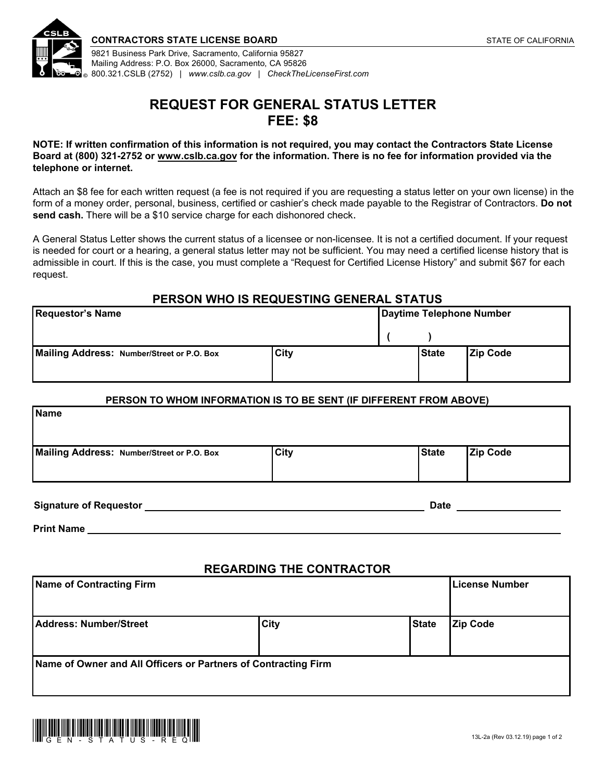

Mailing Address: P.O. Box 26000, Sacramento, CA 95826 800.321.CSLB (2752) | *[www.cslb.ca.gov](http://www.cslb.ca.gov/) | [CheckTheLicenseFirst.com](http://www.CheckTheLicenseFirst.com)* 

# **REQUEST FOR GENERAL STATUS LETTER FEE: \$8**

**NOTE: If written confirmation of this information is not required, you may contact the Contractors State License Board at (800) 321-2752 or [www.cslb.ca.gov](http://www.cslb.ca.gov/) for the information. There is no fee for information provided via the telephone or internet.** 

Attach an \$8 fee for each written request (a fee is not required if you are requesting a status letter on your own license) in the form of a money order, personal, business, certified or cashier's check made payable to the Registrar of Contractors. **Do not**  send cash. There will be a \$10 service charge for each dishonored check.

A General Status Letter shows the current status of a licensee or non-licensee. It is not a certified document. If your request is needed for court or a hearing, a general status letter may not be sufficient. You may need a certified license history that is admissible in court. If this is the case, you must complete a "Request for Certified License History" and submit \$67 for each request.

## **PERSON WHO IS REQUESTING GENERAL STATUS**

| <b>Requestor's Name</b>                    |             | Daytime Telephone Number |              |                 |
|--------------------------------------------|-------------|--------------------------|--------------|-----------------|
|                                            |             |                          |              |                 |
| Mailing Address: Number/Street or P.O. Box | <b>City</b> |                          | <b>State</b> | <b>Zip Code</b> |

#### **PERSON TO WHOM INFORMATION IS TO BE SENT (IF DIFFERENT FROM ABOVE)**

| <b>Name</b>                                |             |              |                 |  |
|--------------------------------------------|-------------|--------------|-----------------|--|
| Mailing Address: Number/Street or P.O. Box | <b>City</b> | <b>State</b> | <b>Zip Code</b> |  |

**Signature of Requestor Community Community Community Community Community Community Community Community Community** 

**Print Name** 

### **REGARDING THE CONTRACTOR**

| Name of Contracting Firm                                       |             |              | <b>License Number</b> |  |
|----------------------------------------------------------------|-------------|--------------|-----------------------|--|
| Address: Number/Street                                         | <b>City</b> | <b>State</b> | <b>Zip Code</b>       |  |
| Name of Owner and All Officers or Partners of Contracting Firm |             |              |                       |  |